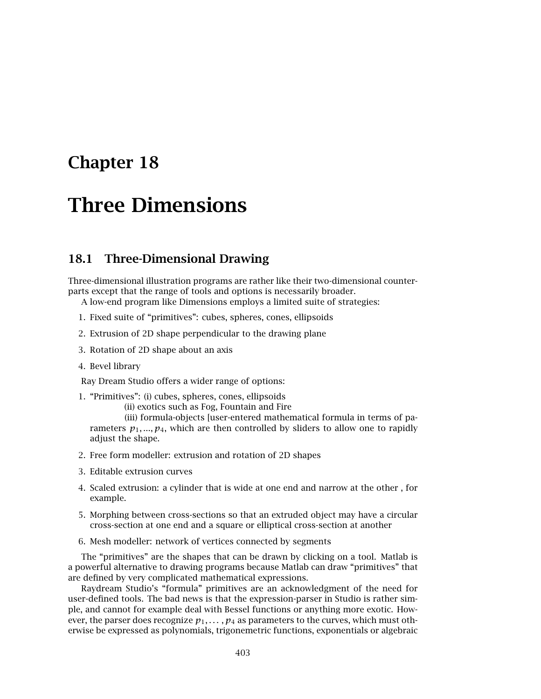## **Chapter 18**

# **Three Dimensions**

## **18.1 Three-Dimensional Drawing**

Three-dimensional illustration programs are rather like their two-dimensional counterparts except that the range of tools and options is necessarily broader.

A low-end program like Dimensions employs a limited suite of strategies:

- 1. Fixed suite of "primitives": cubes, spheres, cones, ellipsoids
- 2. Extrusion of 2D shape perpendicular to the drawing plane
- 3. Rotation of 2D shape about an axis
- 4. Bevel library

Ray Dream Studio offers a wider range of options:

- 1. "Primitives": (i) cubes, spheres, cones, ellipsoids
	- (ii) exotics such as Fog, Fountain and Fire

(iii) formula-objects [user-entered mathematical formula in terms of parameters  $p_1, ..., p_4$ , which are then controlled by sliders to allow one to rapidly adjust the shape.

- 2. Free form modeller: extrusion and rotation of 2D shapes
- 3. Editable extrusion curves
- 4. Scaled extrusion: a cylinder that is wide at one end and narrow at the other , for example.
- 5. Morphing between cross-sections so that an extruded object may have a circular cross-section at one end and a square or elliptical cross-section at another
- 6. Mesh modeller: network of vertices connected by segments

The "primitives" are the shapes that can be drawn by clicking on a tool. Matlab is a powerful alternative to drawing programs because Matlab can draw "primitives" that are defined by very complicated mathematical expressions.

Raydream Studio's "formula" primitives are an acknowledgment of the need for user-defined tools. The bad news is that the expression-parser in Studio is rather simple, and cannot for example deal with Bessel functions or anything more exotic. However, the parser does recognize  $p_1, \ldots, p_4$  as parameters to the curves, which must otherwise be expressed as polynomials, trigonemetric functions, exponentials or algebraic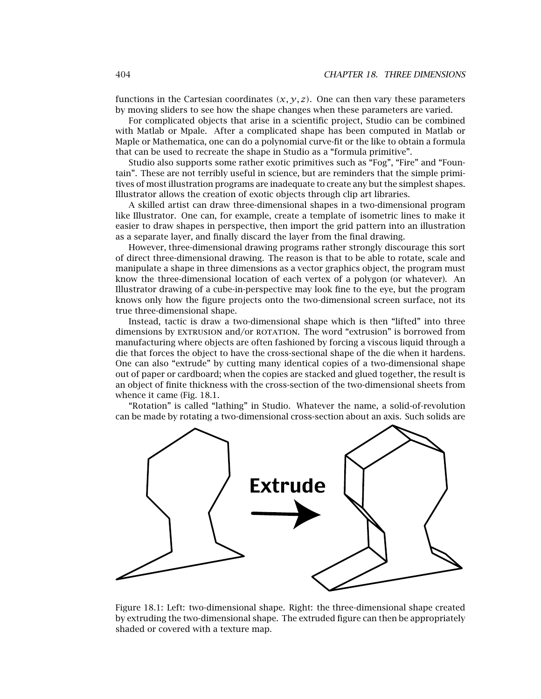functions in the Cartesian coordinates  $(x, y, z)$ . One can then vary these parameters by moving sliders to see how the shape changes when these parameters are varied.

For complicated objects that arise in a scientific project, Studio can be combined with Matlab or Mpale. After a complicated shape has been computed in Matlab or Maple or Mathematica, one can do a polynomial curve-fit or the like to obtain a formula that can be used to recreate the shape in Studio as a "formula primitive".

Studio also supports some rather exotic primitives such as "Fog", "Fire" and "Fountain". These are not terribly useful in science, but are reminders that the simple primitives of most illustration programs are inadequate to create any but the simplest shapes. Illustrator allows the creation of exotic objects through clip art libraries.

A skilled artist can draw three-dimensional shapes in a two-dimensional program like Illustrator. One can, for example, create a template of isometric lines to make it easier to draw shapes in perspective, then import the grid pattern into an illustration as a separate layer, and finally discard the layer from the final drawing.

However, three-dimensional drawing programs rather strongly discourage this sort of direct three-dimensional drawing. The reason is that to be able to rotate, scale and manipulate a shape in three dimensions as a vector graphics object, the program must know the three-dimensional location of each vertex of a polygon (or whatever). An Illustrator drawing of a cube-in-perspective may look fine to the eye, but the program knows only how the figure projects onto the two-dimensional screen surface, not its true three-dimensional shape.

Instead, tactic is draw a two-dimensional shape which is then "lifted" into three dimensions by EXTRUSION and/or ROTATION. The word "extrusion" is borrowed from manufacturing where objects are often fashioned by forcing a viscous liquid through a die that forces the object to have the cross-sectional shape of the die when it hardens. One can also "extrude" by cutting many identical copies of a two-dimensional shape out of paper or cardboard; when the copies are stacked and glued together, the result is an object of finite thickness with the cross-section of the two-dimensional sheets from whence it came (Fig. 18.1.

"Rotation" is called "lathing" in Studio. Whatever the name, a solid-of-revolution can be made by rotating a two-dimensional cross-section about an axis. Such solids are



Figure 18.1: Left: two-dimensional shape. Right: the three-dimensional shape created by extruding the two-dimensional shape. The extruded figure can then be appropriately shaded or covered with a texture map.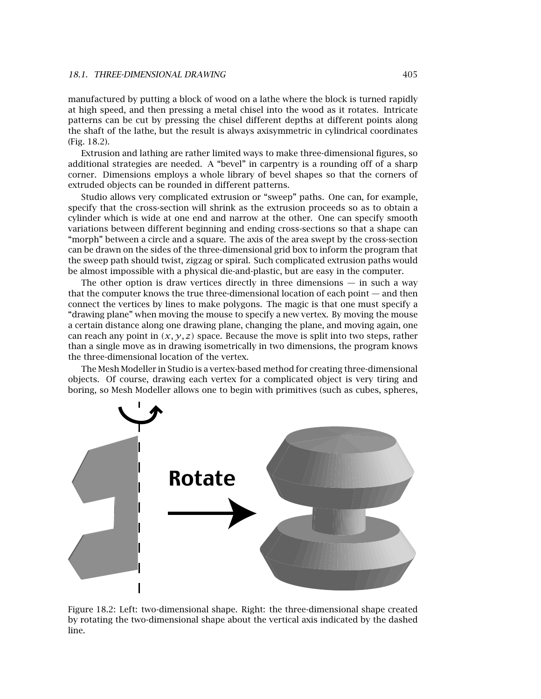#### *18.1. THREE-DIMENSIONAL DRAWING* 405

manufactured by putting a block of wood on a lathe where the block is turned rapidly at high speed, and then pressing a metal chisel into the wood as it rotates. Intricate patterns can be cut by pressing the chisel different depths at different points along the shaft of the lathe, but the result is always axisymmetric in cylindrical coordinates (Fig. 18.2).

Extrusion and lathing are rather limited ways to make three-dimensional figures, so additional strategies are needed. A "bevel" in carpentry is a rounding off of a sharp corner. Dimensions employs a whole library of bevel shapes so that the corners of extruded objects can be rounded in different patterns.

Studio allows very complicated extrusion or "sweep" paths. One can, for example, specify that the cross-section will shrink as the extrusion proceeds so as to obtain a cylinder which is wide at one end and narrow at the other. One can specify smooth variations between different beginning and ending cross-sections so that a shape can "morph" between a circle and a square. The axis of the area swept by the cross-section can be drawn on the sides of the three-dimensional grid box to inform the program that the sweep path should twist, zigzag or spiral. Such complicated extrusion paths would be almost impossible with a physical die-and-plastic, but are easy in the computer.

The other option is draw vertices directly in three dimensions  $-$  in such a way that the computer knows the true three-dimensional location of each point — and then connect the vertices by lines to make polygons. The magic is that one must specify a "drawing plane" when moving the mouse to specify a new vertex. By moving the mouse a certain distance along one drawing plane, changing the plane, and moving again, one can reach any point in  $(x, y, z)$  space. Because the move is split into two steps, rather than a single move as in drawing isometrically in two dimensions, the program knows the three-dimensional location of the vertex.

The Mesh Modeller in Studio is a vertex-based method for creating three-dimensional objects. Of course, drawing each vertex for a complicated object is very tiring and boring, so Mesh Modeller allows one to begin with primitives (such as cubes, spheres,



Figure 18.2: Left: two-dimensional shape. Right: the three-dimensional shape created by rotating the two-dimensional shape about the vertical axis indicated by the dashed line.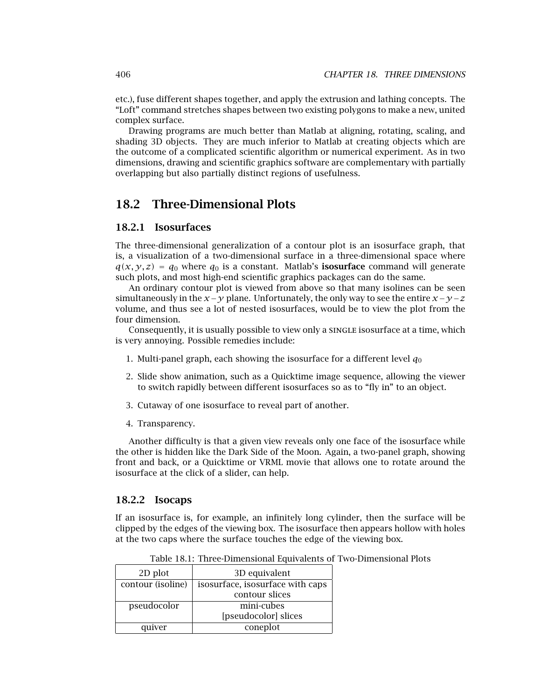etc.), fuse different shapes together, and apply the extrusion and lathing concepts. The "Loft" command stretches shapes between two existing polygons to make a new, united complex surface.

Drawing programs are much better than Matlab at aligning, rotating, scaling, and shading 3D objects. They are much inferior to Matlab at creating objects which are the outcome of a complicated scientific algorithm or numerical experiment. As in two dimensions, drawing and scientific graphics software are complementary with partially overlapping but also partially distinct regions of usefulness.

### **18.2 Three-Dimensional Plots**

#### **18.2.1 Isosurfaces**

The three-dimensional generalization of a contour plot is an isosurface graph, that is, a visualization of a two-dimensional surface in a three-dimensional space where  $q(x, y, z) = q_0$  where  $q_0$  is a constant. Matlab's **isosurface** command will generate such plots, and most high-end scientific graphics packages can do the same.

An ordinary contour plot is viewed from above so that many isolines can be seen simultaneously in the  $x - y$  plane. Unfortunately, the only way to see the entire  $x - y - z$ volume, and thus see a lot of nested isosurfaces, would be to view the plot from the four dimension.

Consequently, it is usually possible to view only a single isosurface at a time, which is very annoying. Possible remedies include:

- 1. Multi-panel graph, each showing the isosurface for a different level  $q_0$
- 2. Slide show animation, such as a Quicktime image sequence, allowing the viewer to switch rapidly between different isosurfaces so as to "fly in" to an object.
- 3. Cutaway of one isosurface to reveal part of another.
- 4. Transparency.

Another difficulty is that a given view reveals only one face of the isosurface while the other is hidden like the Dark Side of the Moon. Again, a two-panel graph, showing front and back, or a Quicktime or VRML movie that allows one to rotate around the isosurface at the click of a slider, can help.

#### **18.2.2 Isocaps**

If an isosurface is, for example, an infinitely long cylinder, then the surface will be clipped by the edges of the viewing box. The isosurface then appears hollow with holes at the two caps where the surface touches the edge of the viewing box.

| 2D plot           | 3D equivalent                    |
|-------------------|----------------------------------|
| contour (isoline) | isosurface, isosurface with caps |
|                   | contour slices                   |
| pseudocolor       | mini-cubes                       |
|                   | [pseudocolor] slices             |
| quiver            | coneplot                         |

Table 18.1: Three-Dimensional Equivalents of Two-Dimensional Plots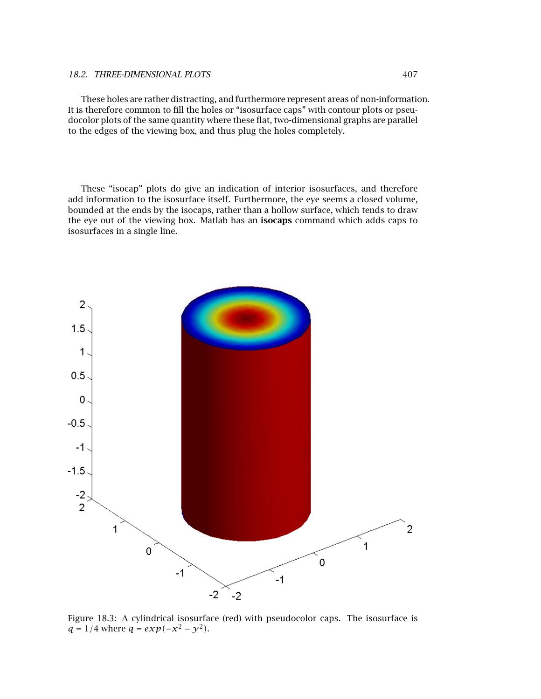These holes are rather distracting, and furthermore represent areas of non-information. It is therefore common to fill the holes or "isosurface caps" with contour plots or pseudocolor plots of the same quantity where these flat, two-dimensional graphs are parallel to the edges of the viewing box, and thus plug the holes completely.

These "isocap" plots do give an indication of interior isosurfaces, and therefore add information to the isosurface itself. Furthermore, the eye seems a closed volume, bounded at the ends by the isocaps, rather than a hollow surface, which tends to draw the eye out of the viewing box. Matlab has an **isocaps** command which adds caps to isosurfaces in a single line.



Figure 18.3: A cylindrical isosurface (red) with pseudocolor caps. The isosurface is  $q = 1/4$  where  $q = exp(-x^2 - y^2)$ .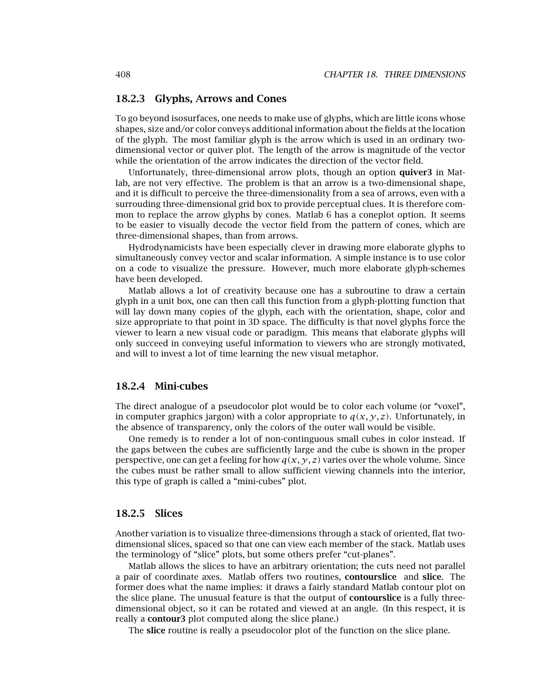#### **18.2.3 Glyphs,Arrows and Cones**

To go beyond isosurfaces, one needs to make use of glyphs, which are little icons whose shapes, size and/or color conveys additional information about the fields at the location of the glyph. The most familiar glyph is the arrow which is used in an ordinary twodimensional vector or quiver plot. The length of the arrow is magnitude of the vector while the orientation of the arrow indicates the direction of the vector field.

Unfortunately, three-dimensional arrow plots, though an option **quiver3** in Matlab, are not very effective. The problem is that an arrow is a two-dimensional shape, and it is difficult to perceive the three-dimensionality from a sea of arrows, even with a surrouding three-dimensional grid box to provide perceptual clues. It is therefore common to replace the arrow glyphs by cones. Matlab 6 has a coneplot option. It seems to be easier to visually decode the vector field from the pattern of cones, which are three-dimensional shapes, than from arrows.

Hydrodynamicists have been especially clever in drawing more elaborate glyphs to simultaneously convey vector and scalar information. A simple instance is to use color on a code to visualize the pressure. However, much more elaborate glyph-schemes have been developed.

Matlab allows a lot of creativity because one has a subroutine to draw a certain glyph in a unit box, one can then call this function from a glyph-plotting function that will lay down many copies of the glyph, each with the orientation, shape, color and size appropriate to that point in 3D space. The difficulty is that novel glyphs force the viewer to learn a new visual code or paradigm. This means that elaborate glyphs will only succeed in conveying useful information to viewers who are strongly motivated, and will to invest a lot of time learning the new visual metaphor.

#### **18.2.4 Mini-cubes**

The direct analogue of a pseudocolor plot would be to color each volume (or "voxel", in computer graphics jargon) with a color appropriate to  $q(x, y, z)$ . Unfortunately, in the absence of transparency, only the colors of the outer wall would be visible.

One remedy is to render a lot of non-continguous small cubes in color instead. If the gaps between the cubes are sufficiently large and the cube is shown in the proper perspective, one can get a feeling for how  $q(x, y, z)$  varies over the whole volume. Since the cubes must be rather small to allow sufficient viewing channels into the interior, this type of graph is called a "mini-cubes" plot.

#### **18.2.5 Slices**

Another variation is to visualize three-dimensions through a stack of oriented, flat twodimensional slices, spaced so that one can view each member of the stack. Matlab uses the terminology of "slice" plots, but some others prefer "cut-planes".

Matlab allows the slices to have an arbitrary orientation; the cuts need not parallel a pair of coordinate axes. Matlab offers two routines, **contourslice** and **slice**. The former does what the name implies: it draws a fairly standard Matlab contour plot on the slice plane. The unusual feature is that the output of **contourslice** is a fully threedimensional object, so it can be rotated and viewed at an angle. (In this respect, it is really a **contour3** plot computed along the slice plane.)

The **slice** routine is really a pseudocolor plot of the function on the slice plane.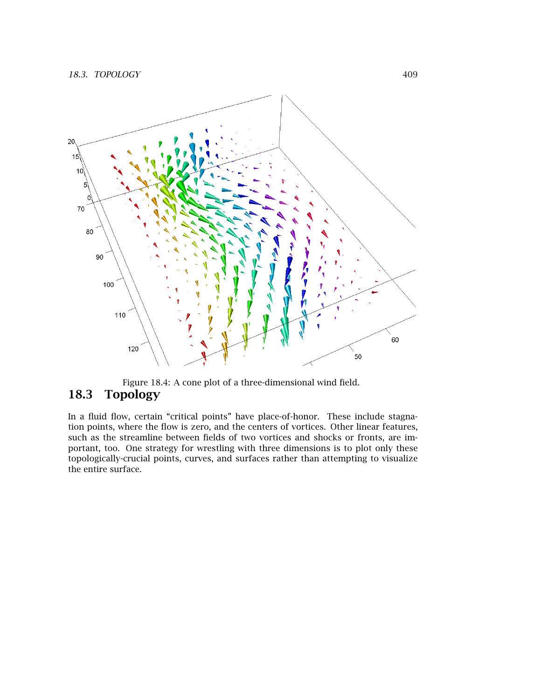

Figure 18.4: A cone plot of a three-dimensional wind field. **18.3 Topology**

In a fluid flow, certain "critical points" have place-of-honor. These include stagnation points, where the flow is zero, and the centers of vortices. Other linear features, such as the streamline between fields of two vortices and shocks or fronts, are important, too. One strategy for wrestling with three dimensions is to plot only these topologically-crucial points, curves, and surfaces rather than attempting to visualize the entire surface.